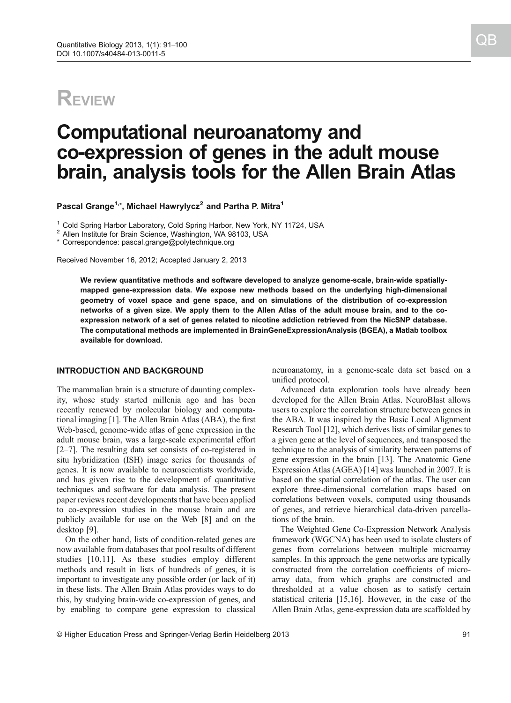## **REVIEW**

# Computational neuroanatomy and co-expression of genes in the adult mouse brain, analysis tools for the Allen Brain Atlas

Pascal Grange $^{1,\star}$ , Michael Hawrylycz $^2$  and Partha P. Mitra $^1$ 

<sup>1</sup> Cold Spring Harbor Laboratory, Cold Spring Harbor, New York, NY 11724, USA  $^2$  Allen Institute for Brain Science, Washington, WA 98103, USA

\* Correspondence: pascal.grange@polytechnique.org

Received November 16, 2012; Accepted January 2, 2013

We review quantitative methods and software developed to analyze genome-scale, brain-wide spatiallymapped gene-expression data. We expose new methods based on the underlying high-dimensional geometry of voxel space and gene space, and on simulations of the distribution of co-expression networks of a given size. We apply them to the Allen Atlas of the adult mouse brain, and to the coexpression network of a set of genes related to nicotine addiction retrieved from the NicSNP database. The computational methods are implemented in BrainGeneExpressionAnalysis (BGEA), a Matlab toolbox available for download.

## INTRODUCTION AND BACKGROUND

The mammalian brain is a structure of daunting complexity, whose study started millenia ago and has been recently renewed by molecular biology and computational imaging [[1](#page-8-0)]. The Allen Brain Atlas (ABA), the first Web-based, genome-wide atlas of gene expression in the adult mouse brain, was a large-scale experimental effort [\[2](#page-8-0)–[7](#page-8-0)]. The resulting data set consists of co-registered in situ hybridization (ISH) image series for thousands of genes. It is now available to neuroscientists worldwide, and has given rise to the development of quantitative techniques and software for data analysis. The present paper reviews recent developments that have been applied to co-expression studies in the mouse brain and are publicly available for use on the Web [[8\]](#page-8-0) and on the desktop [[9](#page-8-0)].

On the other hand, lists of condition-related genes are now available from databases that pool results of different studies [\[10](#page-8-0),[11\]](#page-8-0). As these studies employ different methods and result in lists of hundreds of genes, it is important to investigate any possible order (or lack of it) in these lists. The Allen Brain Atlas provides ways to do this, by studying brain-wide co-expression of genes, and by enabling to compare gene expression to classical

neuroanatomy, in a genome-scale data set based on a unified protocol.

Advanced data exploration tools have already been developed for the Allen Brain Atlas. NeuroBlast allows users to explore the correlation structure between genes in the ABA. It was inspired by the Basic Local Alignment Research Tool [[12](#page-8-0)], which derives lists of similar genes to a given gene at the level of sequences, and transposed the technique to the analysis of similarity between patterns of gene expression in the brain [\[13\]](#page-8-0). The Anatomic Gene Expression Atlas (AGEA) [\[14\]](#page-8-0) was launched in 2007. It is based on the spatial correlation of the atlas. The user can explore three-dimensional correlation maps based on correlations between voxels, computed using thousands of genes, and retrieve hierarchical data-driven parcellations of the brain.

The Weighted Gene Co-Expression Network Analysis framework (WGCNA) has been used to isolate clusters of genes from correlations between multiple microarray samples. In this approach the gene networks are typically constructed from the correlation coefficients of microarray data, from which graphs are constructed and thresholded at a value chosen as to satisfy certain statistical criteria [\[15,16\]](#page-8-0). However, in the case of the Allen Brain Atlas, gene-expression data are scaffolded by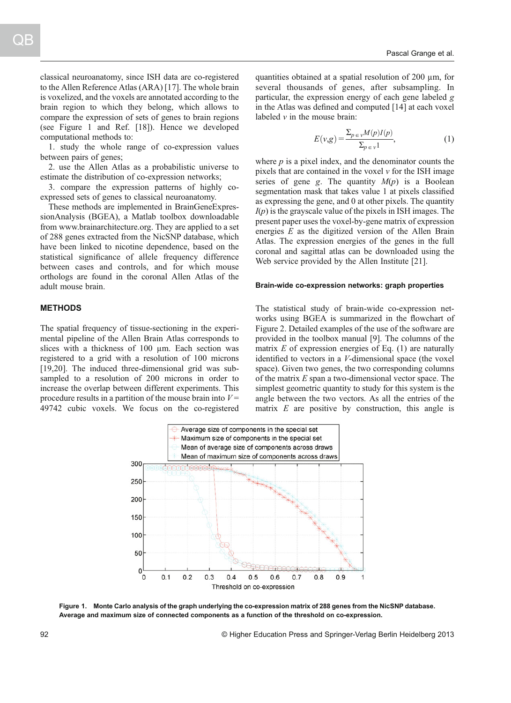classical neuroanatomy, since ISH data are co-registered to the Allen Reference Atlas (ARA) [[17](#page-8-0)]. The whole brain is voxelized, and the voxels are annotated according to the brain region to which they belong, which allows to compare the expression of sets of genes to brain regions (see Figure 1 and Ref. [[18](#page-8-0)]). Hence we developed computational methods to:

1. study the whole range of co-expression values between pairs of genes;

2. use the Allen Atlas as a probabilistic universe to estimate the distribution of co-expression networks;

3. compare the expression patterns of highly coexpressed sets of genes to classical neuroanatomy.

These methods are implemented in BrainGeneExpressionAnalysis (BGEA), a Matlab toolbox downloadable from www.brainarchitecture.org. They are applied to a set of 288 genes extracted from the NicSNP database, which have been linked to nicotine dependence, based on the statistical significance of allele frequency difference between cases and controls, and for which mouse orthologs are found in the coronal Allen Atlas of the adult mouse brain.

## **METHODS**

The spatial frequency of tissue-sectioning in the experimental pipeline of the Allen Brain Atlas corresponds to slices with a thickness of 100  $\mu$ m. Each section was registered to a grid with a resolution of 100 microns [[19](#page-8-0),[20](#page-8-0)]. The induced three-dimensional grid was subsampled to a resolution of 200 microns in order to increase the overlap between different experiments. This procedure results in a partition of the mouse brain into  $V =$ 49742 cubic voxels. We focus on the co-registered quantities obtained at a spatial resolution of 200 µm, for several thousands of genes, after subsampling. In particular, the expression energy of each gene labeled g in the Atlas was defined and computed [\[14\]](#page-8-0) at each voxel labeled  $\nu$  in the mouse brain:

$$
E(\nu, g) = \frac{\sum_{p \in \nu} M(p) I(p)}{\sum_{p \in \nu} 1},
$$
 (1)

where  $p$  is a pixel index, and the denominator counts the pixels that are contained in the voxel  $\nu$  for the ISH image series of gene g. The quantity  $M(p)$  is a Boolean segmentation mask that takes value 1 at pixels classified as expressing the gene, and 0 at other pixels. The quantity  $I(p)$  is the grayscale value of the pixels in ISH images. The present paper uses the voxel-by-gene matrix of expression energies E as the digitized version of the Allen Brain Atlas. The expression energies of the genes in the full coronal and sagittal atlas can be downloaded using the Web service provided by the Allen Institute [\[21\]](#page-8-0).

#### Brain-wide co-expression networks: graph properties

The statistical study of brain-wide co-expression networks using BGEA is summarized in the flowchart of Figure 2. Detailed examples of the use of the software are provided in the toolbox manual [[9\]](#page-8-0). The columns of the matrix  $E$  of expression energies of Eq. (1) are naturally identified to vectors in a V-dimensional space (the voxel space). Given two genes, the two corresponding columns of the matrix  $E$  span a two-dimensional vector space. The simplest geometric quantity to study for this system is the angle between the two vectors. As all the entries of the matrix  $E$  are positive by construction, this angle is



Figure 1. Monte Carlo analysis of the graph underlying the co-expression matrix of 288 genes from the NicSNP database. Average and maximum size of connected components as a function of the threshold on co-expression.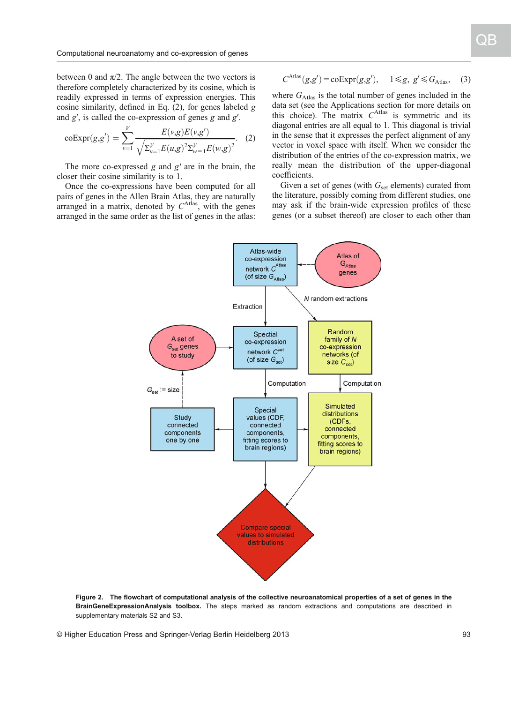between 0 and  $\pi/2$ . The angle between the two vectors is therefore completely characterized by its cosine, which is readily expressed in terms of expression energies. This cosine similarity, defined in Eq.  $(2)$ , for genes labeled g and  $g'$ , is called the co-expression of genes  $g$  and  $g'$ .

$$
\mathrm{coExpr}(g,g') = \sum_{\nu=1}^{V} \frac{E(\nu,g)E(\nu,g')}{\sqrt{\Sigma_{u=1}^{V}E(u,g)^{2}\Sigma_{w=1}^{V}E(w,g)^{2}}}.
$$
 (2)

The more co-expressed  $g$  and  $g'$  are in the brain, the closer their cosine similarity is to 1.

Once the co-expressions have been computed for all pairs of genes in the Allen Brain Atlas, they are naturally arranged in a matrix, denoted by  $C^{Atlas}$ , with the genes arranged in the same order as the list of genes in the atlas:

$$
C^{\text{Atlas}}(g,g') = \text{coExpr}(g,g'), \quad 1 \le g, \ g' \le G_{\text{Atlas}}, \quad (3)
$$

where  $G_{\text{Atlas}}$  is the total number of genes included in the data set (see the Applications section for more details on this choice). The matrix  $C^{Atlas}$  is symmetric and its diagonal entries are all equal to 1. This diagonal is trivial diagonal entries are all equal to 1. This diagonal is trivial in the sense that it expresses the perfect alignment of any vector in voxel space with itself. When we consider the distribution of the entries of the co-expression matrix, we really mean the distribution of the upper-diagonal coefficients.

Given a set of genes (with  $G_{\text{set}}$  elements) curated from the literature, possibly coming from different studies, one may ask if the brain-wide expression profiles of these genes (or a subset thereof) are closer to each other than



Figure 2. The flowchart of computational analysis of the collective neuroanatomical properties of a set of genes in the BrainGeneExpressionAnalysis toolbox. The steps marked as random extractions and computations are described in supplementary materials S2 and S3.

© Higher Education Press and Springer-Verlag Berlin Heidelberg 2013 93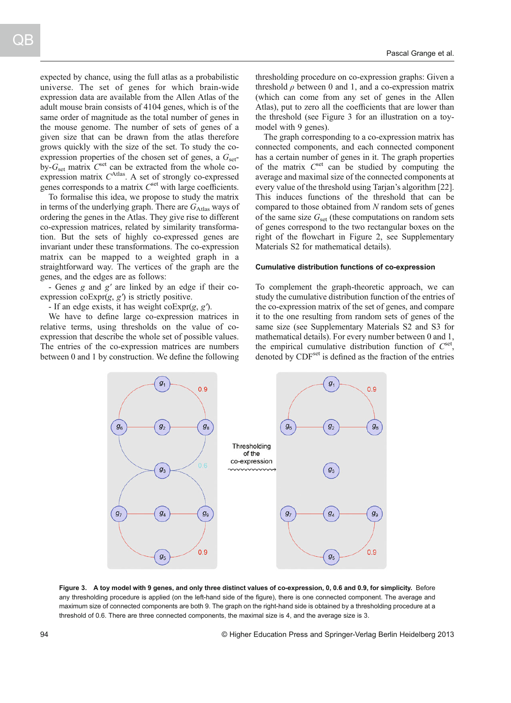expected by chance, using the full atlas as a probabilistic universe. The set of genes for which brain-wide expression data are available from the Allen Atlas of the adult mouse brain consists of 4104 genes, which is of the same order of magnitude as the total number of genes in the mouse genome. The number of sets of genes of a given size that can be drawn from the atlas therefore grows quickly with the size of the set. To study the coexpression properties of the chosen set of genes, a  $G<sub>set</sub>$ by- $G_{\text{set}}$  matrix  $C^{\text{set}}$  can be extracted from the whole co-<br>expression matrix  $C^{\text{Atlas}}$  A set of strongly co-expressed expression matrix  $C^{Atlas}$ . A set of strongly co-expressed<br>genes corresponds to a matrix  $C^{set}$  with large coefficients genes corresponds to a matrix  $C<sup>set</sup>$  with large coefficients.

To formalise this idea, we propose to study the matrix in terms of the underlying graph. There are  $G_{\text{Atlas}}$  ways of ordering the genes in the Atlas. They give rise to different co-expression matrices, related by similarity transformation. But the sets of highly co-expressed genes are invariant under these transformations. The co-expression matrix can be mapped to a weighted graph in a straightforward way. The vertices of the graph are the genes, and the edges are as follows:

- Genes g and g' are linked by an edge if their coexpression  $coExpr(g, g')$  is strictly positive.

- If an edge exists, it has weight  $coExp(g, g')$ .

We have to define large co-expression matrices in relative terms, using thresholds on the value of coexpression that describe the whole set of possible values. The entries of the co-expression matrices are numbers between 0 and 1 by construction. We define the following thresholding procedure on co-expression graphs: Given a threshold  $\rho$  between 0 and 1, and a co-expression matrix (which can come from any set of genes in the Allen Atlas), put to zero all the coefficients that are lower than the threshold (see Figure 3 for an illustration on a toymodel with 9 genes).

The graph corresponding to a co-expression matrix has connected components, and each connected component has a certain number of genes in it. The graph properties of the matrix  $C<sup>set</sup>$  can be studied by computing the average and maximal size of the connected components at every value of the threshold using Tarjan's algorithm [[22](#page-8-0)]. This induces functions of the threshold that can be compared to those obtained from N random sets of genes of the same size  $G_{\text{set}}$  (these computations on random sets of genes correspond to the two rectangular boxes on the right of the flowchart in Figure 2, see Supplementary Materials S2 for mathematical details).

#### Cumulative distribution functions of co-expression

To complement the graph-theoretic approach, we can study the cumulative distribution function of the entries of the co-expression matrix of the set of genes, and compare it to the one resulting from random sets of genes of the same size (see Supplementary Materials S2 and S3 for mathematical details). For every number between 0 and 1, the empirical cumulative distribution function of  $C<sup>set</sup>$ , denoted by CDF<sup>set</sup> is defined as the fraction of the entries



Figure 3. A toy model with 9 genes, and only three distinct values of co-expression, 0, 0.6 and 0.9, for simplicity. Before any thresholding procedure is applied (on the left-hand side of the figure), there is one connected component. The average and maximum size of connected components are both 9. The graph on the right-hand side is obtained by a thresholding procedure at a threshold of 0.6. There are three connected components, the maximal size is 4, and the average size is 3.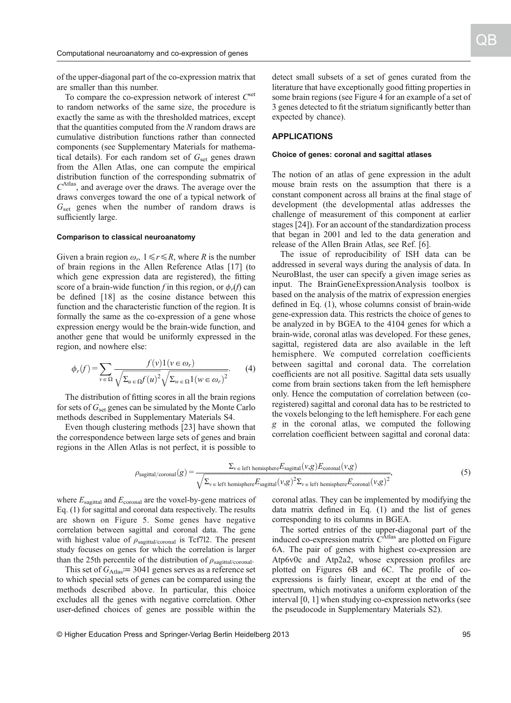of the upper-diagonal part of the co-expression matrix that are smaller than this number.

To compare the co-expression network of interest  $C<sup>set</sup>$ to random networks of the same size, the procedure is exactly the same as with the thresholded matrices, except that the quantities computed from the N random draws are cumulative distribution functions rather than connected components (see Supplementary Materials for mathematical details). For each random set of  $G_{\text{set}}$  genes drawn from the Allen Atlas, one can compute the empirical distribution function of the corresponding submatrix of  $C<sup>Atlas</sup>$ , and average over the draws. The average over the draws converges toward the one of a typical network of  $G_{\text{set}}$  genes when the number of random draws is sufficiently large.

### Comparison to classical neuroanatomy

Given a brain region  $\omega_r$ ,  $1 \le r \le R$ , where R is the number of brain regions in the Allen Reference Atlas [\[17\]](#page-8-0) (to which gene expression data are registered), the fitting score of a brain-wide function f in this region, or  $\phi_r(f)$  can be defined [\[18\]](#page-8-0) as the cosine distance between this function and the characteristic function of the region. It is formally the same as the co-expression of a gene whose expression energy would be the brain-wide function, and another gene that would be uniformly expressed in the region, and nowhere else:

$$
\phi_r(f) = \sum_{v \in \Omega} \frac{f(v)1(v \in \omega_r)}{\sqrt{\sum_{u \in \Omega} f(u)^2} \sqrt{\sum_{w \in \Omega} 1(w \in \omega_r)^2}}.
$$
 (4)

The distribution of fitting scores in all the brain regions for sets of  $G_{\text{set}}$  genes can be simulated by the Monte Carlo methods described in Supplementary Materials S4.

Even though clustering methods [\[23\]](#page-8-0) have shown that the correspondence between large sets of genes and brain regions in the Allen Atlas is not perfect, it is possible to

detect small subsets of a set of genes curated from the literature that have exceptionally good fitting properties in some brain regions (see Figure 4 for an example of a set of 3 genes detected to fit the striatum significantly better than expected by chance).

## APPLICATIONS

### Choice of genes: coronal and sagittal atlases

The notion of an atlas of gene expression in the adult mouse brain rests on the assumption that there is a constant component across all brains at the final stage of development (the developmental atlas addresses the challenge of measurement of this component at earlier stages [[24](#page-8-0)]). For an account of the standardization process that began in 2001 and led to the data generation and release of the Allen Brain Atlas, see Ref. [\[6](#page-8-0)].

The issue of reproducibility of ISH data can be addressed in several ways during the analysis of data. In NeuroBlast, the user can specify a given image series as input. The BrainGeneExpressionAnalysis toolbox is based on the analysis of the matrix of expression energies defined in Eq. (1), whose columns consist of brain-wide gene-expression data. This restricts the choice of genes to be analyzed in by BGEA to the 4104 genes for which a brain-wide, coronal atlas was developed. For these genes, sagittal, registered data are also available in the left hemisphere. We computed correlation coefficients between sagittal and coronal data. The correlation coefficients are not all positive. Sagittal data sets usually come from brain sections taken from the left hemisphere only. Hence the computation of correlation between (coregistered) sagittal and coronal data has to be restricted to the voxels belonging to the left hemisphere. For each gene g in the coronal atlas, we computed the following correlation coefficient between sagittal and coronal data:

$$
\rho_{\text{sagittal/coronal}}(g) = \frac{\Sigma_{\nu \in \text{left hemisphere}} E_{\text{sagittal}}(\nu, g) E_{\text{coronal}}(\nu, g)}{\sqrt{\Sigma_{\nu \in \text{left hemisphere}} E_{\text{sagittal}}(\nu, g)^2 \Sigma_{\nu \in \text{left hemisphere}} E_{\text{coronal}}(\nu, g)^2}},
$$
\n(5)

where  $E_{\text{sagittal}}$  and  $E_{\text{coronal}}$  are the voxel-by-gene matrices of Eq. (1) for sagittal and coronal data respectively. The results are shown on Figure 5. Some genes have negative correlation between sagittal and coronal data. The gene with highest value of  $\rho_{\text{sagittal/coronal}}$  is Tcf7l2. The present study focuses on genes for which the correlation is larger than the 25th percentile of the distribution of  $\rho_{\text{sagittal/coronal}}$ .

This set of  $G_{\text{Atlas}}$  = 3041 genes serves as a reference set to which special sets of genes can be compared using the methods described above. In particular, this choice excludes all the genes with negative correlation. Other user-defined choices of genes are possible within the coronal atlas. They can be implemented by modifying the data matrix defined in Eq. (1) and the list of genes corresponding to its columns in BGEA.

The sorted entries of the upper-diagonal part of the induced co-expression matrix  $\tilde{C}^{\text{Atlas}}$  are plotted on Figure 6A. The pair of genes with highest co-expression are 6A. The pair of genes with highest co-expression are Atp6v0c and Atp2a2, whose expression profiles are plotted on Figures 6B and 6C. The profile of coexpressions is fairly linear, except at the end of the spectrum, which motivates a uniform exploration of the interval [0, 1] when studying co-expression networks (see the pseudocode in Supplementary Materials S2).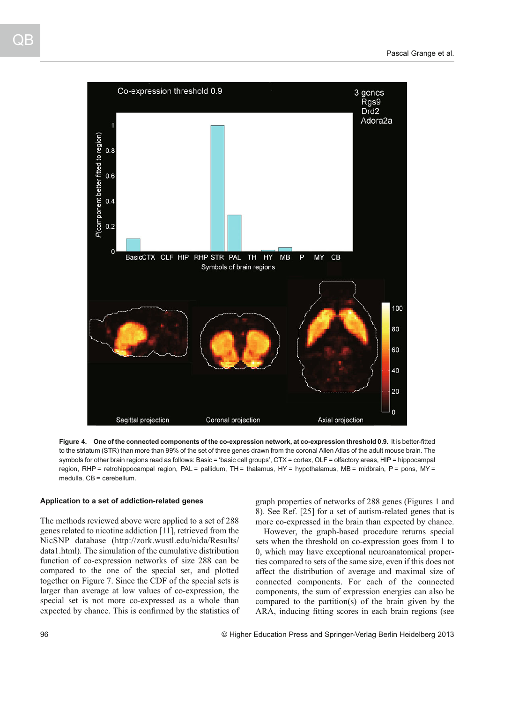

Figure 4. One of the connected components of the co-expression network, at co-expression threshold 0.9. It is better-fitted to the striatum (STR) than more than 99% of the set of three genes drawn from the coronal Allen Atlas of the adult mouse brain. The symbols for other brain regions read as follows: Basic = 'basic cell groups', CTX = cortex, OLF = olfactory areas, HIP = hippocampal region, RHP = retrohippocampal region, PAL = pallidum, TH = thalamus, HY = hypothalamus, MB = midbrain, P = pons, MY = medulla, CB = cerebellum.

## Application to a set of addiction-related genes

The methods reviewed above were applied to a set of 288 genes related to nicotine addiction [\[11](#page-8-0)], retrieved from the NicSNP database (http://zork.wustl.edu/nida/Results/ data1.html). The simulation of the cumulative distribution function of co-expression networks of size 288 can be compared to the one of the special set, and plotted together on Figure 7. Since the CDF of the special sets is larger than average at low values of co-expression, the special set is not more co-expressed as a whole than expected by chance. This is confirmed by the statistics of graph properties of networks of 288 genes (Figures 1 and 8). See Ref. [[25](#page-8-0)] for a set of autism-related genes that is more co-expressed in the brain than expected by chance.

However, the graph-based procedure returns special sets when the threshold on co-expression goes from 1 to 0, which may have exceptional neuroanatomical properties compared to sets of the same size, even if this does not affect the distribution of average and maximal size of connected components. For each of the connected components, the sum of expression energies can also be compared to the partition(s) of the brain given by the ARA, inducing fitting scores in each brain regions (see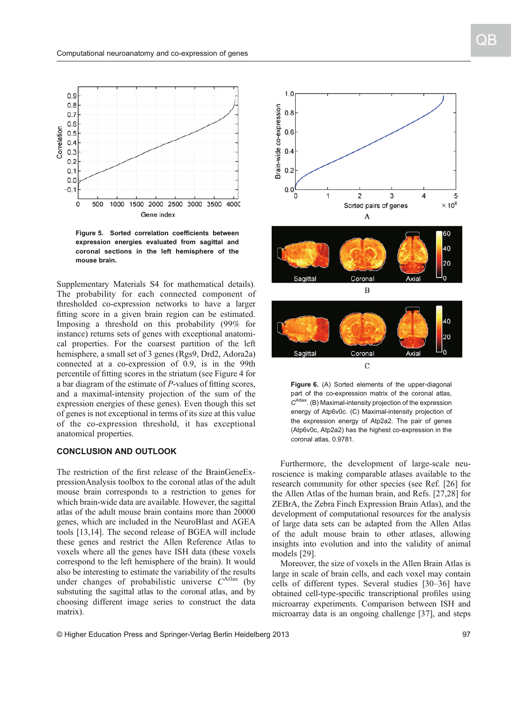

Figure 5. Sorted correlation coefficients between expression energies evaluated from sagittal and coronal sections in the left hemisphere of the mouse brain.

Supplementary Materials S4 for mathematical details). The probability for each connected component of thresholded co-expression networks to have a larger fitting score in a given brain region can be estimated. Imposing a threshold on this probability (99% for instance) returns sets of genes with exceptional anatomical properties. For the coarsest partition of the left hemisphere, a small set of 3 genes (Rgs9, Drd2, Adora2a) connected at a co-expression of 0.9, is in the 99th percentile of fitting scores in the striatum (see Figure 4 for a bar diagram of the estimate of P-values of fitting scores, and a maximal-intensity projection of the sum of the expression energies of these genes). Even though this set of genes is not exceptional in terms of its size at this value of the co-expression threshold, it has exceptional anatomical properties.

## CONCLUSION AND OUTLOOK

The restriction of the first release of the BrainGeneExpressionAnalysis toolbox to the coronal atlas of the adult mouse brain corresponds to a restriction to genes for which brain-wide data are available. However, the sagittal atlas of the adult mouse brain contains more than 20000 genes, which are included in the NeuroBlast and AGEA tools [\[13,14\]](#page-8-0). The second release of BGEA will include these genes and restrict the Allen Reference Atlas to voxels where all the genes have ISH data (these voxels correspond to the left hemisphere of the brain). It would also be interesting to estimate the variability of the results under changes of probabilistic universe  $C^{Atlas}$  (by substuting the sagittal atlas to the coronal atlas, and by choosing different image series to construct the data matrix).



Figure 6. (A) Sorted elements of the upper-diagonal part of the co-expression matrix of the coronal atlas,  $C^{Atlas}$ . (B) Maximal-intensity projection of the expression energy of Atp6v0c. (C) Maximal-intensity projection of the expression energy of Atp2a2. The pair of genes (Atp6v0c, Atp2a2) has the highest co-expression in the coronal atlas, 0.9781.

Furthermore, the development of large-scale neuroscience is making comparable atlases available to the research community for other species (see Ref. [[26](#page-8-0)] for the Allen Atlas of the human brain, and Refs. [\[27,28\]](#page-8-0) for ZEBrA, the Zebra Finch Expression Brain Atlas), and the development of computational resources for the analysis of large data sets can be adapted from the Allen Atlas of the adult mouse brain to other atlases, allowing insights into evolution and into the validity of animal models [\[29\]](#page-8-0).

Moreover, the size of voxels in the Allen Brain Atlas is large in scale of brain cells, and each voxel may contain cells of different types. Several studies [\[30](#page-8-0)–[36\]](#page-9-0) have obtained cell-type-specific transcriptional profiles using microarray experiments. Comparison between ISH and microarray data is an ongoing challenge [[37](#page-9-0)], and steps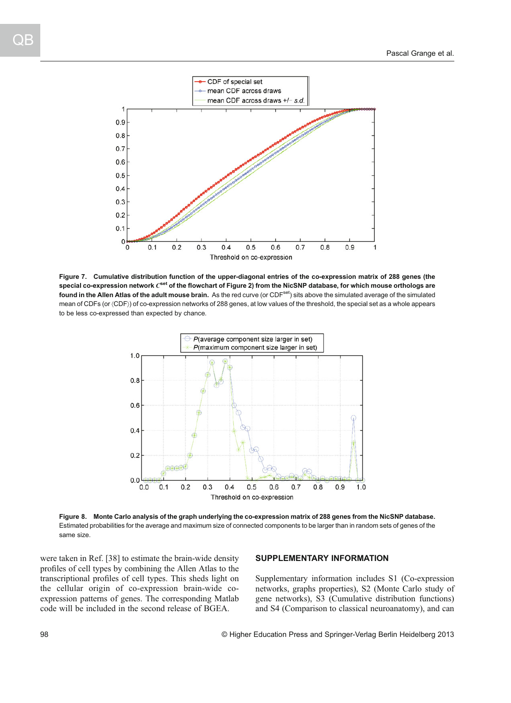

Figure 7. Cumulative distribution function of the upper-diagonal entries of the co-expression matrix of 288 genes (the special co-expression network  $C^{set}$  of the flowchart of Figure 2) from the NicSNP database, for which mouse orthologs are found in the Allen Atlas of the adult mouse brain. As the red curve (or CDF<sup>set</sup>) sits above the simulated average of the simulated mean of CDFs (or 〈CDF〉) of co-expression networks of 288 genes, at low values of the threshold, the special set as a whole appears to be less co-expressed than expected by chance.



Figure 8. Monte Carlo analysis of the graph underlying the co-expression matrix of 288 genes from the NicSNP database. Estimated probabilities for the average and maximum size of connected components to be larger than in random sets of genes of the same size.

were taken in Ref. [[38](#page-9-0)] to estimate the brain-wide density profiles of cell types by combining the Allen Atlas to the transcriptional profiles of cell types. This sheds light on the cellular origin of co-expression brain-wide coexpression patterns of genes. The corresponding Matlab code will be included in the second release of BGEA.

## SUPPLEMENTARY INFORMATION

Supplementary information includes S1 (Co-expression networks, graphs properties), S2 (Monte Carlo study of gene networks), S3 (Cumulative distribution functions) and S4 (Comparison to classical neuroanatomy), and can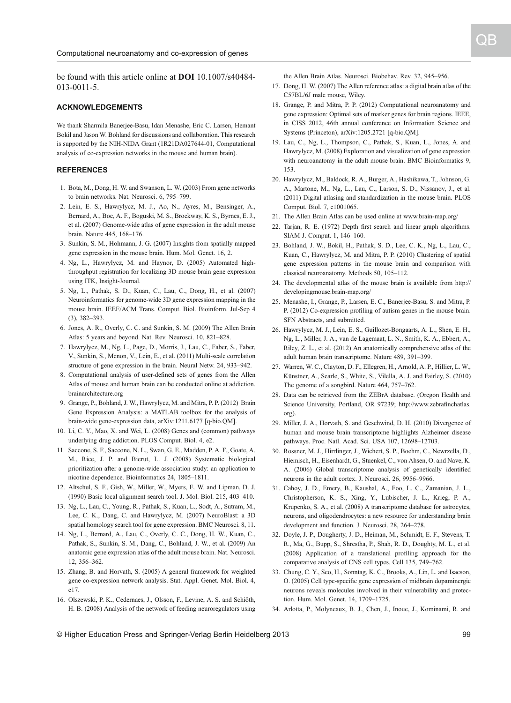<span id="page-8-0"></span>be found with this article online at DOI 10.1007/s40484- 013-0011-5.

#### ACKNOWLEDGEMENTS

We thank Sharmila Banerjee-Basu, Idan Menashe, Eric C. Larsen, Hemant Bokil and Jason W. Bohland for discussions and collaboration. This research is supported by the NIH-NIDA Grant (1R21DA027644-01, Computational analysis of co-expression networks in the mouse and human brain).

### REFERENCES

- 1. Bota, M., Dong, H. W. and Swanson, L. W. (2003) From gene networks to brain networks. Nat. Neurosci. 6, 795–799.
- 2. Lein, E. S., Hawrylycz, M. J., Ao, N., Ayres, M., Bensinger, A., Bernard, A., Boe, A. F., Boguski, M. S., Brockway, K. S., Byrnes, E. J., et al. (2007) Genome-wide atlas of gene expression in the adult mouse brain. Nature 445, 168–176.
- 3. Sunkin, S. M., Hohmann, J. G. (2007) Insights from spatially mapped gene expression in the mouse brain. Hum. Mol. Genet. 16, 2.
- 4. Ng, L., Hawrylycz, M. and Haynor, D. (2005) Automated highthroughput registration for localizing 3D mouse brain gene expression using ITK, Insight-Journal.
- 5. Ng, L., Pathak, S. D., Kuan, C., Lau, C., Dong, H., et al. (2007) Neuroinformatics for genome-wide 3D gene expression mapping in the mouse brain. IEEE/ACM Trans. Comput. Biol. Bioinform. Jul-Sep 4 (3), 382–393.
- 6. Jones, A. R., Overly, C. C. and Sunkin, S. M. (2009) The Allen Brain Atlas: 5 years and beyond. Nat. Rev. Neurosci. 10, 821–828.
- 7. Hawrylycz, M., Ng, L., Page, D., Morris, J., Lau, C., Faber, S., Faber, V., Sunkin, S., Menon, V., Lein, E., et al. (2011) Multi-scale correlation structure of gene expression in the brain. Neural Netw. 24, 933–942.
- 8. Computational analysis of user-defined sets of genes from the Allen Atlas of mouse and human brain can be conducted online at addiction. brainarchitecture.org
- 9. Grange, P., Bohland, J. W., Hawrylycz, M. and Mitra, P. P. (2012) Brain Gene Expression Analysis: a MATLAB toolbox for the analysis of brain-wide gene-expression data, arXiv:1211.6177 [q-bio.QM].
- 10. Li, C. Y., Mao, X. and Wei, L. (2008) Genes and (common) pathways underlying drug addiction. PLOS Comput. Biol. 4, e2.
- 11. Saccone, S. F., Saccone, N. L., Swan, G. E., Madden, P. A. F., Goate, A. M., Rice, J. P. and Bierut, L. J. (2008) Systematic biological prioritization after a genome-wide association study: an application to nicotine dependence. Bioinformatics 24, 1805–1811.
- 12. Altschul, S. F., Gish, W., Miller, W., Myers, E. W. and Lipman, D. J. (1990) Basic local alignment search tool. J. Mol. Biol. 215, 403–410.
- 13. Ng, L., Lau, C., Young, R., Pathak, S., Kuan, L., Sodt, A., Sutram, M., Lee, C. K., Dang, C. and Hawrylycz, M. (2007) NeuroBlast: a 3D spatial homology search tool for gene expression. BMC Neurosci. 8, 11.
- 14. Ng, L., Bernard, A., Lau, C., Overly, C. C., Dong, H. W., Kuan, C., Pathak, S., Sunkin, S. M., Dang, C., Bohland, J. W., et al. (2009) An anatomic gene expression atlas of the adult mouse brain. Nat. Neurosci. 12, 356–362.
- 15. Zhang, B. and Horvath, S. (2005) A general framework for weighted gene co-expression network analysis. Stat. Appl. Genet. Mol. Biol. 4, e17.
- 16. Olszewski, P. K., Cedernaes, J., Olsson, F., Levine, A. S. and Schiöth, H. B. (2008) Analysis of the network of feeding neuroregulators using

the Allen Brain Atlas. Neurosci. Biobehav. Rev. 32, 945–956.

- 17. Dong, H. W. (2007) The Allen reference atlas: a digital brain atlas of the C57BL/6J male mouse, Wiley.
- 18. Grange, P. and Mitra, P. P. (2012) Computational neuroanatomy and gene expression: Optimal sets of marker genes for brain regions. IEEE, in CISS 2012, 46th annual conference on Information Science and Systems (Princeton), arXiv:1205.2721 [q-bio.QM].
- 19. Lau, C., Ng, L., Thompson, C., Pathak, S., Kuan, L., Jones, A. and Hawrylycz, M. (2008) Exploration and visualization of gene expression with neuroanatomy in the adult mouse brain. BMC Bioinformatics 9, 153.
- 20. Hawrylycz, M., Baldock, R. A., Burger, A., Hashikawa, T., Johnson, G. A., Martone, M., Ng, L., Lau, C., Larson, S. D., Nissanov, J., et al. (2011) Digital atlasing and standardization in the mouse brain. PLOS Comput. Biol. 7, e1001065.
- 21. The Allen Brain Atlas can be used online at www.brain-map.org/
- 22. Tarjan, R. E. (1972) Depth first search and linear graph algorithms. SIAM J. Comput. 1, 146–160.
- 23. Bohland, J. W., Bokil, H., Pathak, S. D., Lee, C. K., Ng, L., Lau, C., Kuan, C., Hawrylycz, M. and Mitra, P. P. (2010) Clustering of spatial gene expression patterns in the mouse brain and comparison with classical neuroanatomy. Methods 50, 105–112.
- 24. The developmental atlas of the mouse brain is available from http:// developingmouse.brain-map.org/
- 25. Menashe, I., Grange, P., Larsen, E. C., Banerjee-Basu, S. and Mitra, P. P. (2012) Co-expression profiling of autism genes in the mouse brain. SFN Abstracts, and submitted.
- 26. Hawrylycz, M. J., Lein, E. S., Guillozet-Bongaarts, A. L., Shen, E. H., Ng, L., Miller, J. A., van de Lagemaat, L. N., Smith, K. A., Ebbert, A., Riley, Z. L., et al. (2012) An anatomically comprehensive atlas of the adult human brain transcriptome. Nature 489, 391–399.
- 27. Warren, W. C., Clayton, D. F., Ellegren, H., Arnold, A. P., Hillier, L. W., Künstner, A., Searle, S., White, S., Vilella, A. J. and Fairley, S. (2010) The genome of a songbird. Nature 464, 757–762.
- 28. Data can be retrieved from the ZEBrA database. (Oregon Health and Science University, Portland, OR 97239; http://www.zebrafinchatlas. org).
- 29. Miller, J. A., Horvath, S. and Geschwind, D. H. (2010) Divergence of human and mouse brain transcriptome highlights Alzheimer disease pathways. Proc. Natl. Acad. Sci. USA 107, 12698–12703.
- 30. Rossner, M. J., Hirrlinger, J., Wichert, S. P., Boehm, C., Newrzella, D., Hiemisch, H., Eisenhardt, G., Stuenkel, C., von Ahsen, O. and Nave, K. A. (2006) Global transcriptome analysis of genetically identified neurons in the adult cortex. J. Neurosci. 26, 9956–9966.
- 31. Cahoy, J. D., Emery, B., Kaushal, A., Foo, L. C., Zamanian, J. L., Christopherson, K. S., Xing, Y., Lubischer, J. L., Krieg, P. A., Krupenko, S. A., et al. (2008) A transcriptome database for astrocytes, neurons, and oligodendrocytes: a new resource for understanding brain development and function. J. Neurosci. 28, 264–278.
- 32. Doyle, J. P., Dougherty, J. D., Heiman, M., Schmidt, E. F., Stevens, T. R., Ma, G., Bupp, S., Shrestha, P., Shah, R. D., Doughty, M. L., et al. (2008) Application of a translational profiling approach for the comparative analysis of CNS cell types. Cell 135, 749–762.
- 33. Chung, C. Y., Seo, H., Sonntag, K. C., Brooks, A., Lin, L. and Isacson, O. (2005) Cell type-specific gene expression of midbrain dopaminergic neurons reveals molecules involved in their vulnerability and protection. Hum. Mol. Genet. 14, 1709–1725.
- 34. Arlotta, P., Molyneaux, B. J., Chen, J., Inoue, J., Kominami, R. and

© Higher Education Press and Springer-Verlag Berlin Heidelberg 2013 99